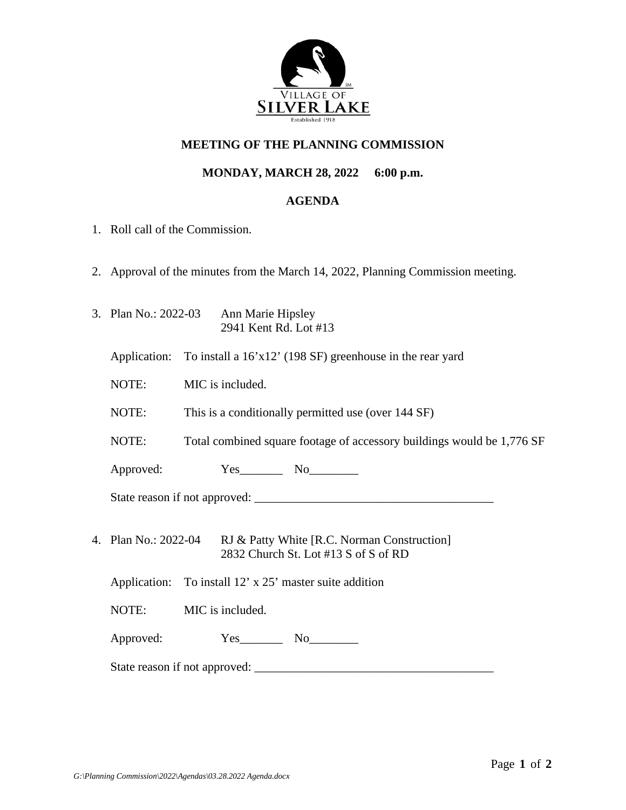

## **MEETING OF THE PLANNING COMMISSION**

## **MONDAY, MARCH 28, 2022 6:00 p.m.**

## **AGENDA**

- 1. Roll call of the Commission.
- 2. Approval of the minutes from the March 14, 2022, Planning Commission meeting.
- 3. Plan No.: 2022-03 Ann Marie Hipsley 2941 Kent Rd. Lot #13
	- Application: To install a 16'x12' (198 SF) greenhouse in the rear yard
	- NOTE: MIC is included.
	- NOTE: This is a conditionally permitted use (over 144 SF)
	- NOTE: Total combined square footage of accessory buildings would be 1,776 SF

Approved:  $Yes$  No

State reason if not approved: \_\_\_\_\_\_\_\_\_\_\_\_\_\_\_\_\_\_\_\_\_\_\_\_\_\_\_\_\_\_\_\_\_\_\_\_\_\_\_

- 4. Plan No.: 2022-04 RJ & Patty White [R.C. Norman Construction] 2832 Church St. Lot #13 S of S of RD
	- Application: To install 12' x 25' master suite addition
	- NOTE: MIC is included.
	- Approved:  $Yes$  No

State reason if not approved: \_\_\_\_\_\_\_\_\_\_\_\_\_\_\_\_\_\_\_\_\_\_\_\_\_\_\_\_\_\_\_\_\_\_\_\_\_\_\_